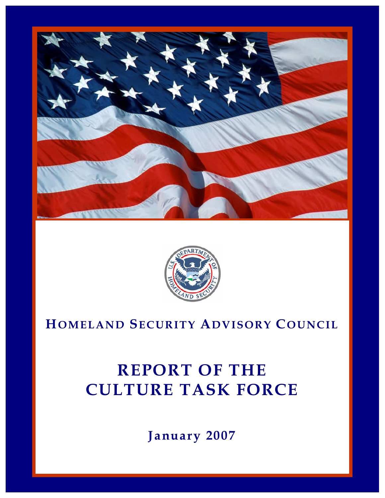



# **HOMELAND SECURITY ADVISORY COUNCIL**

# **REPORT OF THE CULTURE TASK FORCE**

**January 2007**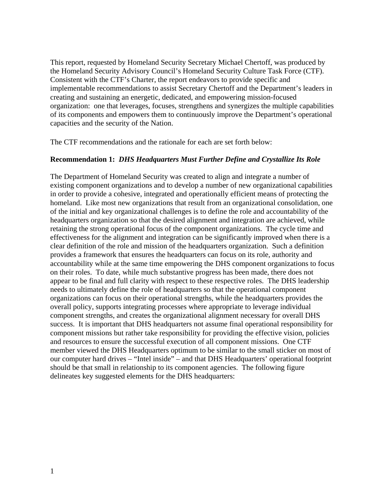This report, requested by Homeland Security Secretary Michael Chertoff, was produced by the Homeland Security Advisory Council's Homeland Security Culture Task Force (CTF). Consistent with the CTF's Charter, the report endeavors to provide specific and implementable recommendations to assist Secretary Chertoff and the Department's leaders in creating and sustaining an energetic, dedicated, and empowering mission-focused organization: one that leverages, focuses, strengthens and synergizes the multiple capabilities of its components and empowers them to continuously improve the Department's operational capacities and the security of the Nation.

The CTF recommendations and the rationale for each are set forth below:

#### **Recommendation 1:** *DHS Headquarters Must Further Define and Crystallize Its Role*

The Department of Homeland Security was created to align and integrate a number of existing component organizations and to develop a number of new organizational capabilities in order to provide a cohesive, integrated and operationally efficient means of protecting the homeland. Like most new organizations that result from an organizational consolidation, one of the initial and key organizational challenges is to define the role and accountability of the headquarters organization so that the desired alignment and integration are achieved, while retaining the strong operational focus of the component organizations. The cycle time and effectiveness for the alignment and integration can be significantly improved when there is a clear definition of the role and mission of the headquarters organization. Such a definition provides a framework that ensures the headquarters can focus on its role, authority and accountability while at the same time empowering the DHS component organizations to focus on their roles. To date, while much substantive progress has been made, there does not appear to be final and full clarity with respect to these respective roles. The DHS leadership needs to ultimately define the role of headquarters so that the operational component organizations can focus on their operational strengths, while the headquarters provides the overall policy, supports integrating processes where appropriate to leverage individual component strengths, and creates the organizational alignment necessary for overall DHS success. It is important that DHS headquarters not assume final operational responsibility for component missions but rather take responsibility for providing the effective vision, policies and resources to ensure the successful execution of all component missions. One CTF member viewed the DHS Headquarters optimum to be similar to the small sticker on most of our computer hard drives – "Intel inside" – and that DHS Headquarters' operational footprint should be that small in relationship to its component agencies. The following figure delineates key suggested elements for the DHS headquarters: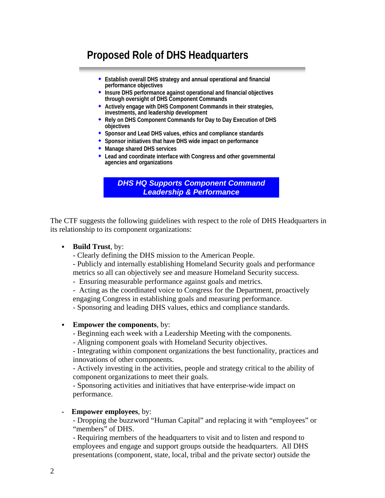# **Proposed Role of DHS Headquarters**

- **Establish overall DHS strategy and annual operational and financial performance objectives**
- **Insure DHS performance against operational and financial objectives through oversight of DHS Component Commands**
- **Actively engage with DHS Component Commands in their strategies, investments, and leadership development**
- **Rely on DHS Component Commands for Day to Day Execution of DHS objectives**
- **Sponsor and Lead DHS values, ethics and compliance standards**
- **Sponsor initiatives that have DHS wide impact on performance**
- **Manage shared DHS services**
- **Lead and coordinate interface with Congress and other governmental agencies and organizations**

*DHS HQ Supports Component Command Leadership & Performance*

The CTF suggests the following guidelines with respect to the role of DHS Headquarters in its relationship to its component organizations:

#### **Build Trust**, by:

- Clearly defining the DHS mission to the American People.
- Publicly and internally establishing Homeland Security goals and performance metrics so all can objectively see and measure Homeland Security success.
- Ensuring measurable performance against goals and metrics.
- Acting as the coordinated voice to Congress for the Department, proactively
- engaging Congress in establishing goals and measuring performance.
- Sponsoring and leading DHS values, ethics and compliance standards.

#### **Empower the components**, by:

- Beginning each week with a Leadership Meeting with the components.
- Aligning component goals with Homeland Security objectives.

- Integrating within component organizations the best functionality, practices and innovations of other components.

- Actively investing in the activities, people and strategy critical to the ability of component organizations to meet their goals.

- Sponsoring activities and initiatives that have enterprise-wide impact on performance.

#### **Empower employees**, by:

- Dropping the buzzword "Human Capital" and replacing it with "employees" or "members" of DHS.

- Requiring members of the headquarters to visit and to listen and respond to employees and engage and support groups outside the headquarters. All DHS presentations (component, state, local, tribal and the private sector) outside the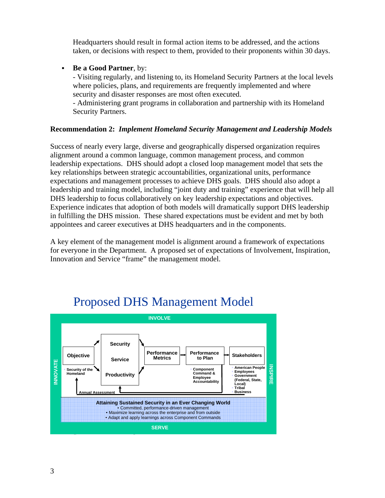Headquarters should result in formal action items to be addressed, and the actions taken, or decisions with respect to them, provided to their proponents within 30 days.

#### **Be a Good Partner**, by:

- Visiting regularly, and listening to, its Homeland Security Partners at the local levels where policies, plans, and requirements are frequently implemented and where security and disaster responses are most often executed.

- Administering grant programs in collaboration and partnership with its Homeland Security Partners.

#### **Recommendation 2:** *Implement Homeland Security Management and Leadership Models*

Success of nearly every large, diverse and geographically dispersed organization requires alignment around a common language, common management process, and common leadership expectations. DHS should adopt a closed loop management model that sets the key relationships between strategic accountabilities, organizational units, performance expectations and management processes to achieve DHS goals. DHS should also adopt a leadership and training model, including "joint duty and training" experience that will help all DHS leadership to focus collaboratively on key leadership expectations and objectives. Experience indicates that adoption of both models will dramatically support DHS leadership in fulfilling the DHS mission. These shared expectations must be evident and met by both appointees and career executives at DHS headquarters and in the components.

A key element of the management model is alignment around a framework of expectations for everyone in the Department. A proposed set of expectations of Involvement, Inspiration, Innovation and Service "frame" the management model.



# Proposed DHS Management Model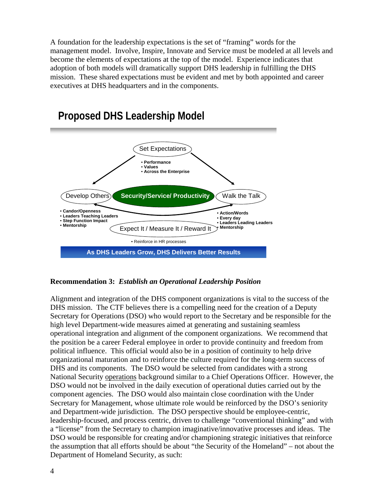A foundation for the leadership expectations is the set of "framing" words for the management model. Involve, Inspire, Innovate and Service must be modeled at all levels and become the elements of expectations at the top of the model. Experience indicates that adoption of both models will dramatically support DHS leadership in fulfilling the DHS mission. These shared expectations must be evident and met by both appointed and career executives at DHS headquarters and in the components.



#### **Recommendation 3:** *Establish an Operational Leadership Position*

Alignment and integration of the DHS component organizations is vital to the success of the DHS mission. The CTF believes there is a compelling need for the creation of a Deputy Secretary for Operations (DSO) who would report to the Secretary and be responsible for the high level Department-wide measures aimed at generating and sustaining seamless operational integration and alignment of the component organizations. We recommend that the position be a career Federal employee in order to provide continuity and freedom from political influence. This official would also be in a position of continuity to help drive organizational maturation and to reinforce the culture required for the long-term success of DHS and its components. The DSO would be selected from candidates with a strong National Security operations background similar to a Chief Operations Officer. However, the DSO would not be involved in the daily execution of operational duties carried out by the component agencies. The DSO would also maintain close coordination with the Under Secretary for Management, whose ultimate role would be reinforced by the DSO's seniority and Department-wide jurisdiction. The DSO perspective should be employee-centric, leadership-focused, and process centric, driven to challenge "conventional thinking" and with a "license" from the Secretary to champion imaginative/innovative processes and ideas. The DSO would be responsible for creating and/or championing strategic initiatives that reinforce the assumption that all efforts should be about "the Security of the Homeland" – not about the Department of Homeland Security, as such: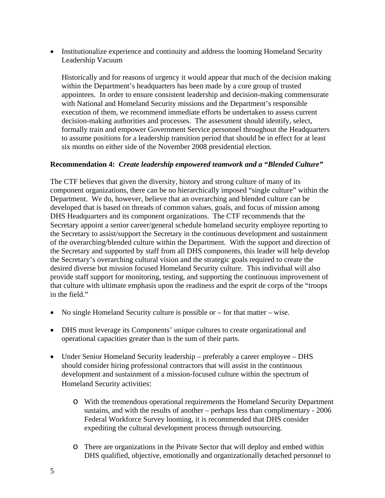• Institutionalize experience and continuity and address the looming Homeland Security Leadership Vacuum

Historically and for reasons of urgency it would appear that much of the decision making within the Department's headquarters has been made by a core group of trusted appointees. In order to ensure consistent leadership and decision-making commensurate with National and Homeland Security missions and the Department's responsible execution of them, we recommend immediate efforts be undertaken to assess current decision-making authorities and processes. The assessment should identify, select, formally train and empower Government Service personnel throughout the Headquarters to assume positions for a leadership transition period that should be in effect for at least six months on either side of the November 2008 presidential election.

#### **Recommendation 4:** *Create leadership empowered teamwork and a "Blended Culture"*

The CTF believes that given the diversity, history and strong culture of many of its component organizations, there can be no hierarchically imposed "single culture" within the Department. We do, however, believe that an overarching and blended culture can be developed that is based on threads of common values, goals, and focus of mission among DHS Headquarters and its component organizations. The CTF recommends that the Secretary appoint a senior career/general schedule homeland security employee reporting to the Secretary to assist/support the Secretary in the continuous development and sustainment of the overarching/blended culture within the Department. With the support and direction of the Secretary and supported by staff from all DHS components, this leader will help develop the Secretary's overarching cultural vision and the strategic goals required to create the desired diverse but mission focused Homeland Security culture. This individual will also provide staff support for monitoring, testing, and supporting the continuous improvement of that culture with ultimate emphasis upon the readiness and the esprit de corps of the "troops in the field."

- No single Homeland Security culture is possible or for that matter wise.
- DHS must leverage its Components' unique cultures to create organizational and operational capacities greater than is the sum of their parts.
- Under Senior Homeland Security leadership preferably a career employee DHS should consider hiring professional contractors that will assist in the continuous development and sustainment of a mission-focused culture within the spectrum of Homeland Security activities:
	- o With the tremendous operational requirements the Homeland Security Department sustains, and with the results of another – perhaps less than complimentary - 2006 Federal Workforce Survey looming, it is recommended that DHS consider expediting the cultural development process through outsourcing.
	- o There are organizations in the Private Sector that will deploy and embed within DHS qualified, objective, emotionally and organizationally detached personnel to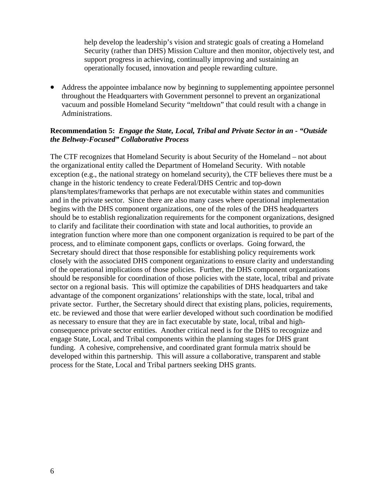help develop the leadership's vision and strategic goals of creating a Homeland Security (rather than DHS) Mission Culture and then monitor, objectively test, and support progress in achieving, continually improving and sustaining an operationally focused, innovation and people rewarding culture.

• Address the appointee imbalance now by beginning to supplementing appointee personnel throughout the Headquarters with Government personnel to prevent an organizational vacuum and possible Homeland Security "meltdown" that could result with a change in Administrations.

#### **Recommendation 5:** *Engage the State, Local, Tribal and Private Sector in an - "Outside the Beltway-Focused" Collaborative Process*

The CTF recognizes that Homeland Security is about Security of the Homeland – not about the organizational entity called the Department of Homeland Security. With notable exception (e.g., the national strategy on homeland security), the CTF believes there must be a change in the historic tendency to create Federal/DHS Centric and top-down plans/templates/frameworks that perhaps are not executable within states and communities and in the private sector. Since there are also many cases where operational implementation begins with the DHS component organizations, one of the roles of the DHS headquarters should be to establish regionalization requirements for the component organizations, designed to clarify and facilitate their coordination with state and local authorities, to provide an integration function where more than one component organization is required to be part of the process, and to eliminate component gaps, conflicts or overlaps. Going forward, the Secretary should direct that those responsible for establishing policy requirements work closely with the associated DHS component organizations to ensure clarity and understanding of the operational implications of those policies. Further, the DHS component organizations should be responsible for coordination of those policies with the state, local, tribal and private sector on a regional basis. This will optimize the capabilities of DHS headquarters and take advantage of the component organizations' relationships with the state, local, tribal and private sector. Further, the Secretary should direct that existing plans, policies, requirements, etc. be reviewed and those that were earlier developed without such coordination be modified as necessary to ensure that they are in fact executable by state, local, tribal and highconsequence private sector entities. Another critical need is for the DHS to recognize and engage State, Local, and Tribal components within the planning stages for DHS grant funding. A cohesive, comprehensive, and coordinated grant formula matrix should be developed within this partnership. This will assure a collaborative, transparent and stable process for the State, Local and Tribal partners seeking DHS grants.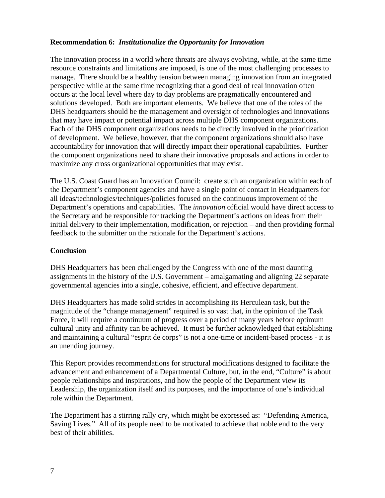#### **Recommendation 6:** *Institutionalize the Opportunity for Innovation*

The innovation process in a world where threats are always evolving, while, at the same time resource constraints and limitations are imposed, is one of the most challenging processes to manage. There should be a healthy tension between managing innovation from an integrated perspective while at the same time recognizing that a good deal of real innovation often occurs at the local level where day to day problems are pragmatically encountered and solutions developed. Both are important elements. We believe that one of the roles of the DHS headquarters should be the management and oversight of technologies and innovations that may have impact or potential impact across multiple DHS component organizations. Each of the DHS component organizations needs to be directly involved in the prioritization of development. We believe, however, that the component organizations should also have accountability for innovation that will directly impact their operational capabilities. Further the component organizations need to share their innovative proposals and actions in order to maximize any cross organizational opportunities that may exist.

The U.S. Coast Guard has an Innovation Council: create such an organization within each of the Department's component agencies and have a single point of contact in Headquarters for all ideas/technologies/techniques/policies focused on the continuous improvement of the Department's operations and capabilities. The *innovation* official would have direct access to the Secretary and be responsible for tracking the Department's actions on ideas from their initial delivery to their implementation, modification, or rejection – and then providing formal feedback to the submitter on the rationale for the Department's actions.

#### **Conclusion**

DHS Headquarters has been challenged by the Congress with one of the most daunting assignments in the history of the U.S. Government – amalgamating and aligning 22 separate governmental agencies into a single, cohesive, efficient, and effective department.

DHS Headquarters has made solid strides in accomplishing its Herculean task, but the magnitude of the "change management" required is so vast that, in the opinion of the Task Force, it will require a continuum of progress over a period of many years before optimum cultural unity and affinity can be achieved. It must be further acknowledged that establishing and maintaining a cultural "esprit de corps" is not a one-time or incident-based process - it is an unending journey.

This Report provides recommendations for structural modifications designed to facilitate the advancement and enhancement of a Departmental Culture, but, in the end, "Culture" is about people relationships and inspirations, and how the people of the Department view its Leadership, the organization itself and its purposes, and the importance of one's individual role within the Department.

The Department has a stirring rally cry, which might be expressed as: "Defending America, Saving Lives." All of its people need to be motivated to achieve that noble end to the very best of their abilities.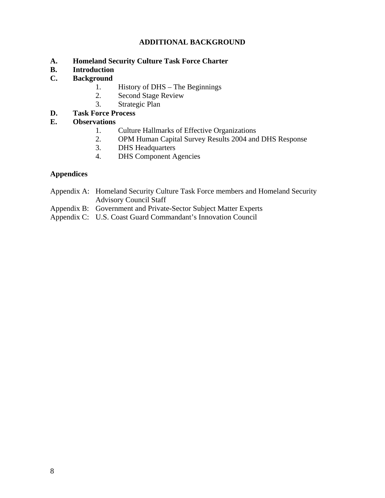# **ADDITIONAL BACKGROUND**

- **A. Homeland Security Culture Task Force Charter**
- **B. Introduction**
- **C. Background** 
	- 1. History of DHS The Beginnings
	- 2. Second Stage Review
	- 3. Strategic Plan
- **D. Task Force Process**

# **E. Observations**

- 1. Culture Hallmarks of Effective Organizations
- 2. OPM Human Capital Survey Results 2004 and DHS Response
- 3. DHS Headquarters
- 4. DHS Component Agencies

# **Appendices**

- Appendix A: Homeland Security Culture Task Force members and Homeland Security Advisory Council Staff
- Appendix B: Government and Private-Sector Subject Matter Experts
- Appendix C: U.S. Coast Guard Commandant's Innovation Council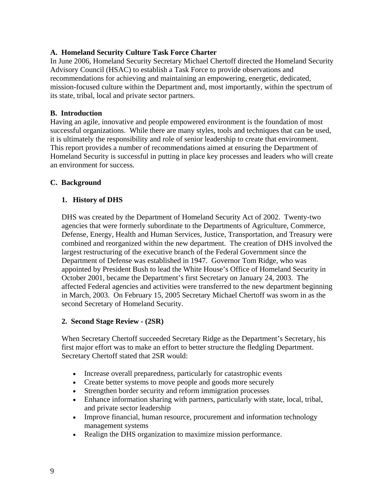# **A. Homeland Security Culture Task Force Charter**

In June 2006, Homeland Security Secretary Michael Chertoff directed the Homeland Security Advisory Council (HSAC) to establish a Task Force to provide observations and recommendations for achieving and maintaining an empowering, energetic, dedicated, mission-focused culture within the Department and, most importantly, within the spectrum of its state, tribal, local and private sector partners.

# **B. Introduction**

Having an agile, innovative and people empowered environment is the foundation of most successful organizations. While there are many styles, tools and techniques that can be used, it is ultimately the responsibility and role of senior leadership to create that environment. This report provides a number of recommendations aimed at ensuring the Department of Homeland Security is successful in putting in place key processes and leaders who will create an environment for success.

# **C. Background**

# **1. History of DHS**

DHS was created by the Department of Homeland Security Act of 2002. Twenty-two agencies that were formerly subordinate to the Departments of Agriculture, Commerce, Defense, Energy, Health and Human Services, Justice, Transportation, and Treasury were combined and reorganized within the new department. The creation of DHS involved the largest restructuring of the executive branch of the Federal Government since the Department of Defense was established in 1947. Governor Tom Ridge, who was appointed by President Bush to lead the White House's Office of Homeland Security in October 2001, became the Department's first Secretary on January 24, 2003. The affected Federal agencies and activities were transferred to the new department beginning in March, 2003. On February 15, 2005 Secretary Michael Chertoff was sworn in as the second Secretary of Homeland Security.

# **2. Second Stage Review - (2SR)**

When Secretary Chertoff succeeded Secretary Ridge as the Department's Secretary, his first major effort was to make an effort to better structure the fledgling Department. Secretary Chertoff stated that 2SR would:

- Increase overall preparedness, particularly for catastrophic events
- Create better systems to move people and goods more securely
- Strengthen border security and reform immigration processes
- Enhance information sharing with partners, particularly with state, local, tribal, and private sector leadership
- Improve financial, human resource, procurement and information technology management systems
- Realign the DHS organization to maximize mission performance.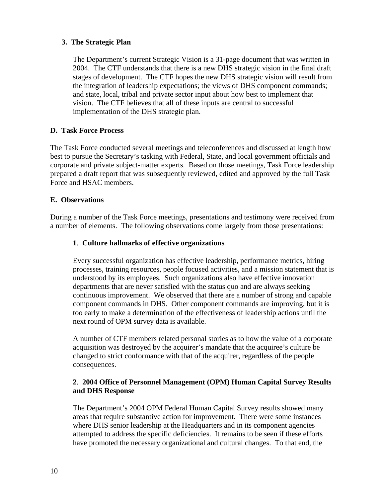# **3. The Strategic Plan**

The Department's current Strategic Vision is a 31-page document that was written in 2004. The CTF understands that there is a new DHS strategic vision in the final draft stages of development. The CTF hopes the new DHS strategic vision will result from the integration of leadership expectations; the views of DHS component commands; and state, local, tribal and private sector input about how best to implement that vision. The CTF believes that all of these inputs are central to successful implementation of the DHS strategic plan.

# **D. Task Force Process**

The Task Force conducted several meetings and teleconferences and discussed at length how best to pursue the Secretary's tasking with Federal, State, and local government officials and corporate and private subject-matter experts. Based on those meetings, Task Force leadership prepared a draft report that was subsequently reviewed, edited and approved by the full Task Force and HSAC members.

# **E. Observations**

During a number of the Task Force meetings, presentations and testimony were received from a number of elements. The following observations come largely from those presentations:

# **1**. **Culture hallmarks of effective organizations**

Every successful organization has effective leadership, performance metrics, hiring processes, training resources, people focused activities, and a mission statement that is understood by its employees. Such organizations also have effective innovation departments that are never satisfied with the status quo and are always seeking continuous improvement. We observed that there are a number of strong and capable component commands in DHS. Other component commands are improving, but it is too early to make a determination of the effectiveness of leadership actions until the next round of OPM survey data is available.

A number of CTF members related personal stories as to how the value of a corporate acquisition was destroyed by the acquirer's mandate that the acquiree's culture be changed to strict conformance with that of the acquirer, regardless of the people consequences.

# **2**. **2004 Office of Personnel Management (OPM) Human Capital Survey Results and DHS Response**

The Department's 2004 OPM Federal Human Capital Survey results showed many areas that require substantive action for improvement. There were some instances where DHS senior leadership at the Headquarters and in its component agencies attempted to address the specific deficiencies. It remains to be seen if these efforts have promoted the necessary organizational and cultural changes. To that end, the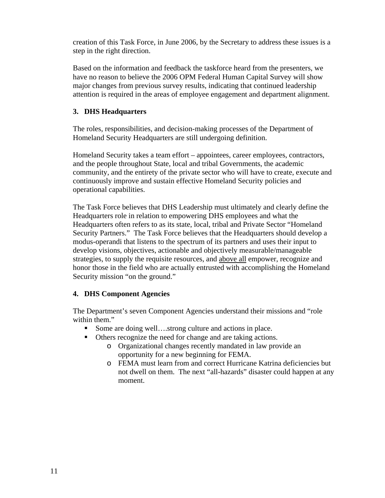creation of this Task Force, in June 2006, by the Secretary to address these issues is a step in the right direction.

Based on the information and feedback the taskforce heard from the presenters, we have no reason to believe the 2006 OPM Federal Human Capital Survey will show major changes from previous survey results, indicating that continued leadership attention is required in the areas of employee engagement and department alignment.

#### **3. DHS Headquarters**

The roles, responsibilities, and decision-making processes of the Department of Homeland Security Headquarters are still undergoing definition.

Homeland Security takes a team effort – appointees, career employees, contractors, and the people throughout State, local and tribal Governments, the academic community, and the entirety of the private sector who will have to create, execute and continuously improve and sustain effective Homeland Security policies and operational capabilities.

The Task Force believes that DHS Leadership must ultimately and clearly define the Headquarters role in relation to empowering DHS employees and what the Headquarters often refers to as its state, local, tribal and Private Sector "Homeland Security Partners." The Task Force believes that the Headquarters should develop a modus-operandi that listens to the spectrum of its partners and uses their input to develop visions, objectives, actionable and objectively measurable/manageable strategies, to supply the requisite resources, and above all empower, recognize and honor those in the field who are actually entrusted with accomplishing the Homeland Security mission "on the ground."

# **4. DHS Component Agencies**

The Department's seven Component Agencies understand their missions and "role within them."

- Some are doing well....strong culture and actions in place.
- Others recognize the need for change and are taking actions.
	- o Organizational changes recently mandated in law provide an opportunity for a new beginning for FEMA.
	- o FEMA must learn from and correct Hurricane Katrina deficiencies but not dwell on them. The next "all-hazards" disaster could happen at any moment.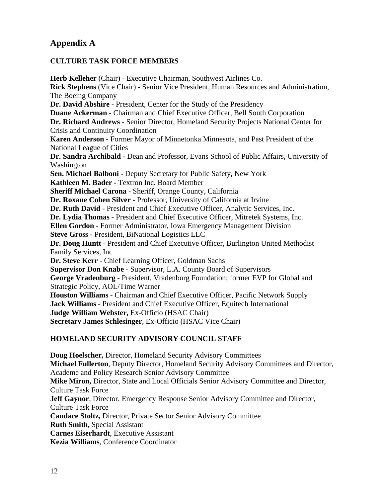# **Appendix A**

#### **CULTURE TASK FORCE MEMBERS**

**Herb Kelleher** (Chair) - Executive Chairman, Southwest Airlines Co. **Rick Stephens** (Vice Chair) - Senior Vice President, Human Resources and Administration, The Boeing Company **Dr. David Abshire -** President, Center for the Study of the Presidency **Duane Ackerman** - Chairman and Chief Executive Officer, Bell South Corporation **Dr. Richard Andrews** - Senior Director, Homeland Security Projects National Center for Crisis and Continuity Coordination **Karen Anderson** - Former Mayor of Minnetonka Minnesota, and Past President of the National League of Cities **Dr. Sandra Archibald -** Dean and Professor, Evans School of Public Affairs, University of Washington **Sen. Michael Balboni -** Deputy Secretary for Public Safety**,** New York **Kathleen M. Bader -** Textron Inc. Board Member **Sheriff Michael Carona** - Sheriff, Orange County, California **Dr. Roxane Cohen Silver** - Professor, University of California at Irvine **Dr. Ruth David** - President and Chief Executive Officer, Analytic Services, Inc. **Dr. Lydia Thomas** - President and Chief Executive Officer, Mitretek Systems, Inc. **Ellen Gordon** - Former Administrator, Iowa Emergency Management Division **Steve Gross -** President, BiNational Logistics LLC **Dr. Doug Huntt** - President and Chief Executive Officer, Burlington United Methodist Family Services, Inc **Dr. Steve Kerr** - Chief Learning Officer, Goldman Sachs **Supervisor Don Knabe** - Supervisor, L.A. County Board of Supervisors **George Vradenburg** - President, Vradenburg Foundation; former EVP for Global and Strategic Policy, AOL/Time Warner **Houston Williams** - Chairman and Chief Executive Officer, Pacific Network Supply **Jack Williams** - President and Chief Executive Officer, Equitech International **Judge William Webster,** Ex-Officio (HSAC Chair) **Secretary James Schlesinger**, Ex-Officio (HSAC Vice Chair)

# **HOMELAND SECURITY ADVISORY COUNCIL STAFF**

**Doug Hoelscher,** Director, Homeland Security Advisory Committees **Michael Fullerton**, Deputy Director, Homeland Security Advisory Committees and Director, Academe and Policy Research Senior Advisory Committee **Mike Miron,** Director, State and Local Officials Senior Advisory Committee and Director, Culture Task Force **Jeff Gaynor**, Director, Emergency Response Senior Advisory Committee and Director, Culture Task Force **Candace Stoltz,** Director, Private Sector Senior Advisory Committee **Ruth Smith,** Special Assistant **Carnes Eiserhardt**, Executive Assistant **Kezia Williams**, Conference Coordinator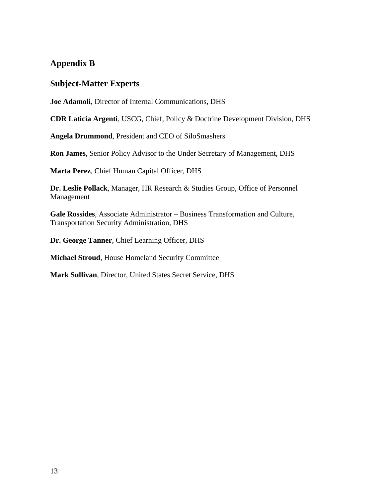# **Appendix B**

# **Subject-Matter Experts**

**Joe Adamoli**, Director of Internal Communications, DHS

**CDR Laticia Argenti**, USCG, Chief, Policy & Doctrine Development Division, DHS

**Angela Drummond**, President and CEO of SiloSmashers

**Ron James**, Senior Policy Advisor to the Under Secretary of Management, DHS

**Marta Perez**, Chief Human Capital Officer, DHS

**Dr. Leslie Pollack**, Manager, HR Research & Studies Group, Office of Personnel Management

**Gale Rossides**, Associate Administrator – Business Transformation and Culture, Transportation Security Administration, DHS

**Dr. George Tanner**, Chief Learning Officer, DHS

**Michael Stroud**, House Homeland Security Committee

**Mark Sullivan**, Director, United States Secret Service, DHS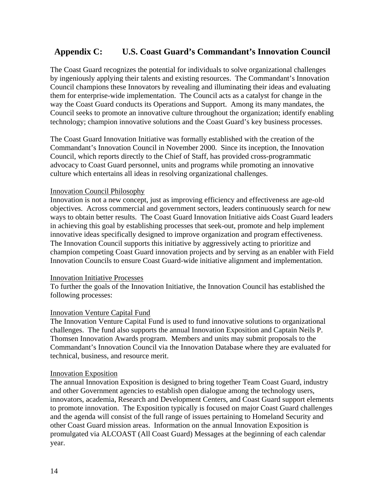# **Appendix C: U.S. Coast Guard's Commandant's Innovation Council**

The Coast Guard recognizes the potential for individuals to solve organizational challenges by ingeniously applying their talents and existing resources. The Commandant's Innovation Council champions these Innovators by revealing and illuminating their ideas and evaluating them for enterprise-wide implementation. The Council acts as a catalyst for change in the way the Coast Guard conducts its Operations and Support. Among its many mandates, the Council seeks to promote an innovative culture throughout the organization; identify enabling technology; champion innovative solutions and the Coast Guard's key business processes.

The Coast Guard Innovation Initiative was formally established with the creation of the Commandant's Innovation Council in November 2000. Since its inception, the Innovation Council, which reports directly to the Chief of Staff, has provided cross-programmatic advocacy to Coast Guard personnel, units and programs while promoting an innovative culture which entertains all ideas in resolving organizational challenges.

#### Innovation Council Philosophy

Innovation is not a new concept, just as improving efficiency and effectiveness are age-old objectives. Across commercial and government sectors, leaders continuously search for new ways to obtain better results. The Coast Guard Innovation Initiative aids Coast Guard leaders in achieving this goal by establishing processes that seek-out, promote and help implement innovative ideas specifically designed to improve organization and program effectiveness. The Innovation Council supports this initiative by aggressively acting to prioritize and champion competing Coast Guard innovation projects and by serving as an enabler with Field Innovation Councils to ensure Coast Guard-wide initiative alignment and implementation.

#### Innovation Initiative Processes

To further the goals of the Innovation Initiative, the Innovation Council has established the following processes:

#### Innovation Venture Capital Fund

The Innovation Venture Capital Fund is used to fund innovative solutions to organizational challenges. The fund also supports the annual Innovation Exposition and Captain Neils P. Thomsen Innovation Awards program. Members and units may submit proposals to the Commandant's Innovation Council via the Innovation Database where they are evaluated for technical, business, and resource merit.

#### Innovation Exposition

The annual Innovation Exposition is designed to bring together Team Coast Guard, industry and other Government agencies to establish open dialogue among the technology users, innovators, academia, Research and Development Centers, and Coast Guard support elements to promote innovation. The Exposition typically is focused on major Coast Guard challenges and the agenda will consist of the full range of issues pertaining to Homeland Security and other Coast Guard mission areas. Information on the annual Innovation Exposition is promulgated via ALCOAST (All Coast Guard) Messages at the beginning of each calendar year.